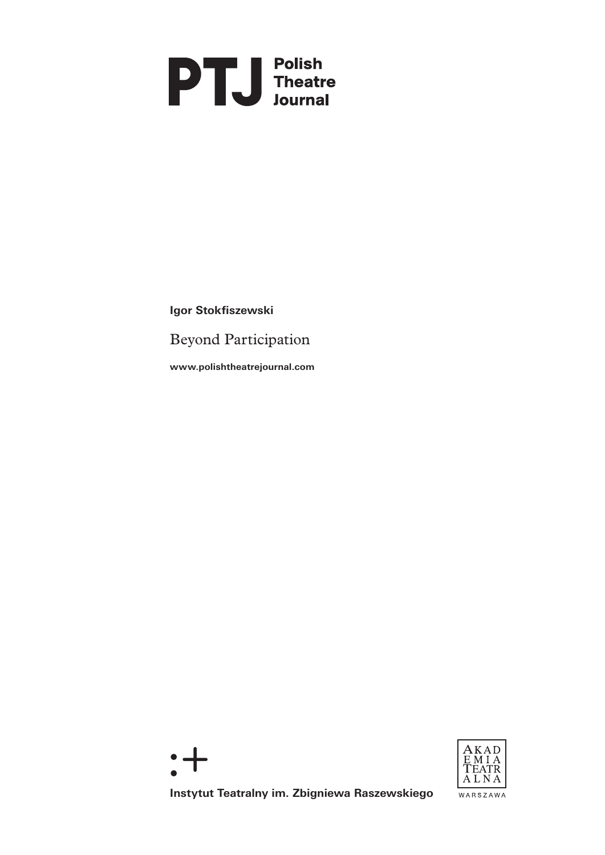# **PTU** Folish<br>Inteatre

**Igor Stokfiszewski**

Beyond Participation

**www.polishtheatrejournal.com**





**Instytut Teatralny im. Zbigniewa Raszewskiego**

WARSZAWA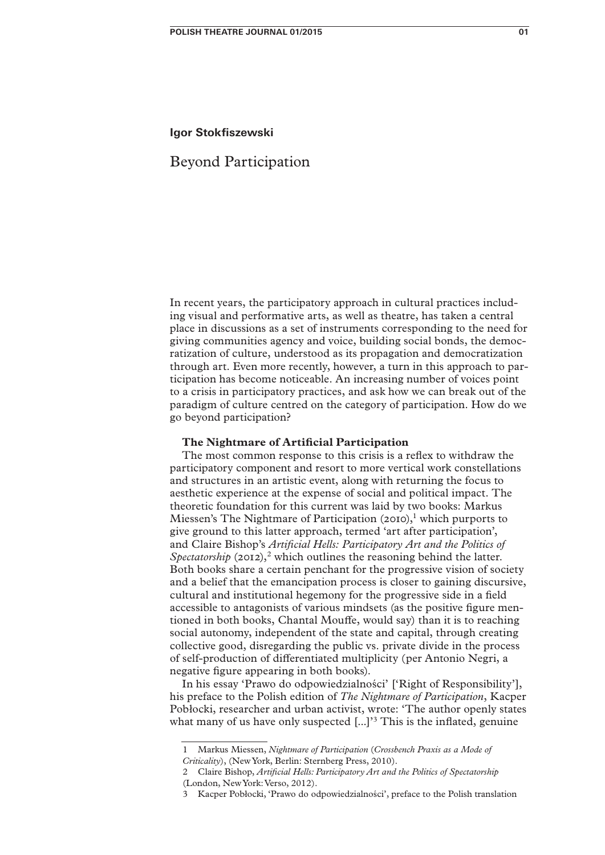## **Igor Stokfiszewski**

# Beyond Participation

In recent years, the participatory approach in cultural practices including visual and performative arts, as well as theatre, has taken a central place in discussions as a set of instruments corresponding to the need for giving communities agency and voice, building social bonds, the democratization of culture, understood as its propagation and democratization through art. Even more recently, however, a turn in this approach to participation has become noticeable. An increasing number of voices point to a crisis in participatory practices, and ask how we can break out of the paradigm of culture centred on the category of participation. How do we go beyond participation?

## **The Nightmare of Artificial Participation**

The most common response to this crisis is a reflex to withdraw the participatory component and resort to more vertical work constellations and structures in an artistic event, along with returning the focus to aesthetic experience at the expense of social and political impact. The theoretic foundation for this current was laid by two books: Markus Miessen's The Nightmare of Participation  $(20I0)<sup>1</sup>$  which purports to give ground to this latter approach, termed 'art after participation', and Claire Bishop's *Artificial Hells: Participatory Art and the Politics of Spectatorship* (2012),<sup>2</sup> which outlines the reasoning behind the latter. Both books share a certain penchant for the progressive vision of society and a belief that the emancipation process is closer to gaining discursive, cultural and institutional hegemony for the progressive side in a field accessible to antagonists of various mindsets (as the positive figure mentioned in both books, Chantal Mouffe, would say) than it is to reaching social autonomy, independent of the state and capital, through creating collective good, disregarding the public vs. private divide in the process of self-production of differentiated multiplicity (per Antonio Negri, a negative figure appearing in both books).

In his essay 'Prawo do odpowiedzialności' ['Right of Responsibility'], his preface to the Polish edition of *The Nightmare of Participation*, Kacper Pobłocki, researcher and urban activist, wrote: 'The author openly states what many of us have only suspected  $[...]$ <sup>3</sup> This is the inflated, genuine

<sup>1</sup> Markus Miessen, *Nightmare of Participation* (*Crossbench Praxis as a Mode of Criticality*), (New York, Berlin: Sternberg Press, 2010).

<sup>2</sup> Claire Bishop, *Artificial Hells: Participatory Art and the Politics of Spectatorship* (London, New York: Verso, 2012).

<sup>3</sup> Kacper Pobłocki, 'Prawo do odpowiedzialności', preface to the Polish translation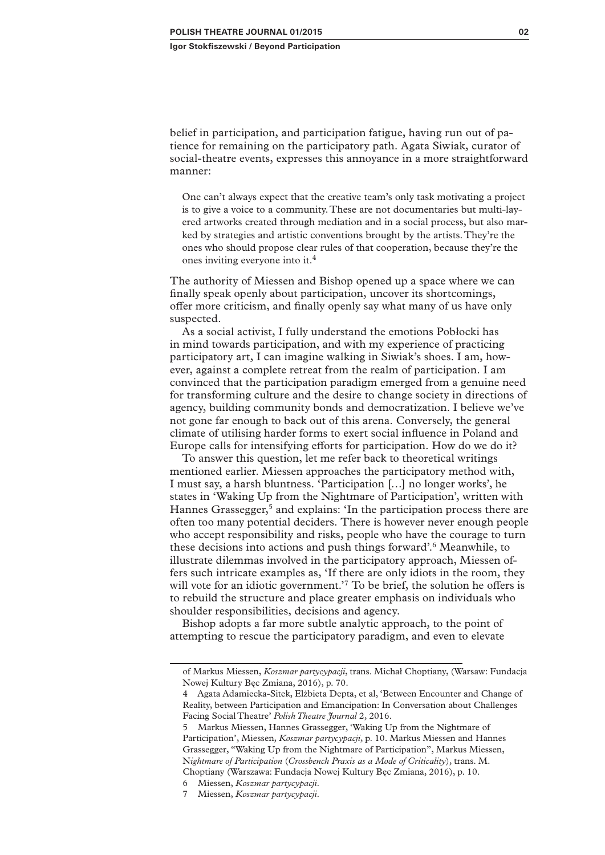belief in participation, and participation fatigue, having run out of patience for remaining on the participatory path. Agata Siwiak, curator of social-theatre events, expresses this annoyance in a more straightforward manner:

One can't always expect that the creative team's only task motivating a project is to give a voice to a community. These are not documentaries but multi-layered artworks created through mediation and in a social process, but also marked by strategies and artistic conventions brought by the artists. They're the ones who should propose clear rules of that cooperation, because they're the ones inviting everyone into it.4

The authority of Miessen and Bishop opened up a space where we can finally speak openly about participation, uncover its shortcomings, offer more criticism, and finally openly say what many of us have only suspected.

As a social activist, I fully understand the emotions Pobłocki has in mind towards participation, and with my experience of practicing participatory art, I can imagine walking in Siwiak's shoes. I am, however, against a complete retreat from the realm of participation. I am convinced that the participation paradigm emerged from a genuine need for transforming culture and the desire to change society in directions of agency, building community bonds and democratization. I believe we've not gone far enough to back out of this arena. Conversely, the general climate of utilising harder forms to exert social influence in Poland and Europe calls for intensifying efforts for participation. How do we do it?

To answer this question, let me refer back to theoretical writings mentioned earlier. Miessen approaches the participatory method with, I must say, a harsh bluntness. 'Participation […] no longer works', he states in 'Waking Up from the Nightmare of Participation', written with Hannes Grassegger,<sup>5</sup> and explains: 'In the participation process there are often too many potential deciders. There is however never enough people who accept responsibility and risks, people who have the courage to turn these decisions into actions and push things forward'.6 Meanwhile, to illustrate dilemmas involved in the participatory approach, Miessen offers such intricate examples as, 'If there are only idiots in the room, they will vote for an idiotic government.<sup>7</sup> To be brief, the solution he offers is to rebuild the structure and place greater emphasis on individuals who shoulder responsibilities, decisions and agency.

Bishop adopts a far more subtle analytic approach, to the point of attempting to rescue the participatory paradigm, and even to elevate

of Markus Miessen, *Koszmar partycypacji*, trans. Michał Choptiany, (Warsaw: Fundacja Nowej Kultury Bęc Zmiana, 2016), p. 70.

<sup>4</sup> Agata Adamiecka-Sitek, Elżbieta Depta, et al, 'Between Encounter and Change of Reality, between Participation and Emancipation: In Conversation about Challenges Facing Social Theatre' *Polish Theatre Journal* 2, 2016.

<sup>5</sup> Markus Miessen, Hannes Grassegger, 'Waking Up from the Nightmare of Participation', Miessen, *Koszmar partycypacji*, p. 10. Markus Miessen and Hannes Grassegger, "Waking Up from the Nightmare of Participation", Markus Miessen, N*ightmare of Participation* (*Crossbench Praxis as a Mode of Criticality*), trans. M. Choptiany (Warszawa: Fundacja Nowej Kultury Bęc Zmiana, 2016), p. 10.

<sup>6</sup> Miessen, *Koszmar partycypacji*.

<sup>7</sup> Miessen, *Koszmar partycypacji*.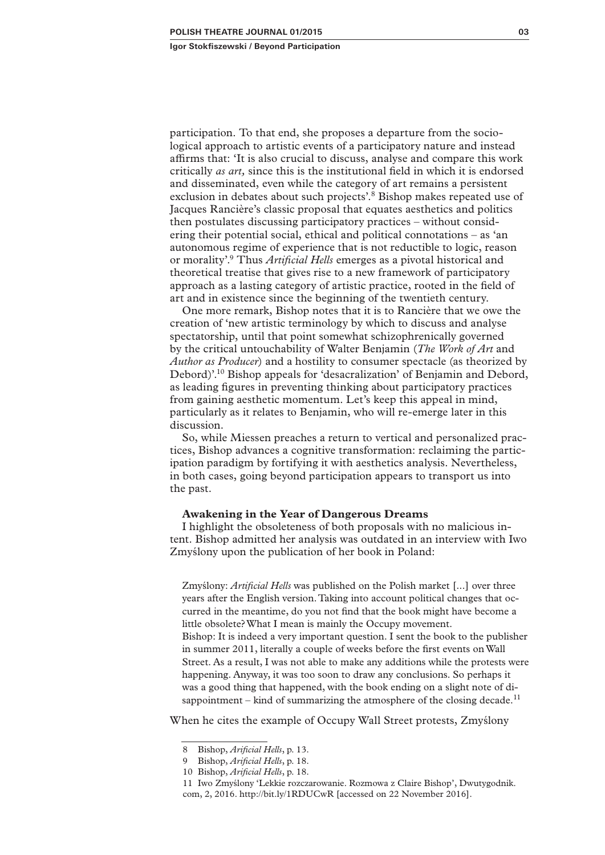participation. To that end, she proposes a departure from the sociological approach to artistic events of a participatory nature and instead affirms that: 'It is also crucial to discuss, analyse and compare this work critically *as art,* since this is the institutional field in which it is endorsed and disseminated, even while the category of art remains a persistent exclusion in debates about such projects'.8 Bishop makes repeated use of Jacques Rancière's classic proposal that equates aesthetics and politics then postulates discussing participatory practices – without considering their potential social, ethical and political connotations – as 'an autonomous regime of experience that is not reductible to logic, reason or morality'.9 Thus *Artificial Hells* emerges as a pivotal historical and theoretical treatise that gives rise to a new framework of participatory approach as a lasting category of artistic practice, rooted in the field of art and in existence since the beginning of the twentieth century.

One more remark, Bishop notes that it is to Rancière that we owe the creation of 'new artistic terminology by which to discuss and analyse spectatorship, until that point somewhat schizophrenically governed by the critical untouchability of Walter Benjamin (*The Work of Art* and *Author as Producer*) and a hostility to consumer spectacle (as theorized by Debord)'.10 Bishop appeals for 'desacralization' of Benjamin and Debord, as leading figures in preventing thinking about participatory practices from gaining aesthetic momentum. Let's keep this appeal in mind, particularly as it relates to Benjamin, who will re-emerge later in this discussion.

So, while Miessen preaches a return to vertical and personalized practices, Bishop advances a cognitive transformation: reclaiming the participation paradigm by fortifying it with aesthetics analysis. Nevertheless, in both cases, going beyond participation appears to transport us into the past.

#### **Awakening in the Year of Dangerous Dreams**

I highlight the obsoleteness of both proposals with no malicious intent. Bishop admitted her analysis was outdated in an interview with Iwo Zmyślony upon the publication of her book in Poland:

Zmyślony: *Artificial Hells* was published on the Polish market [...] over three years after the English version. Taking into account political changes that occurred in the meantime, do you not find that the book might have become a little obsolete? What I mean is mainly the Occupy movement. Bishop: It is indeed a very important question. I sent the book to the publisher in summer 2011, literally a couple of weeks before the first events on Wall Street. As a result, I was not able to make any additions while the protests were happening. Anyway, it was too soon to draw any conclusions. So perhaps it was a good thing that happened, with the book ending on a slight note of disappointment – kind of summarizing the atmosphere of the closing decade.<sup>11</sup>

When he cites the example of Occupy Wall Street protests, Zmyślony

<sup>8</sup> Bishop, *Arificial Hells*, p. 13.

<sup>9</sup> Bishop, *Arificial Hells*, p. 18.

<sup>10</sup> Bishop, *Arificial Hells*, p. 18.

<sup>11</sup> Iwo Zmyślony 'Lekkie rozczarowanie. Rozmowa z Claire Bishop', Dwutygodnik. com, 2, 2016. http://bit.ly/1RDUCwR [accessed on 22 November 2016].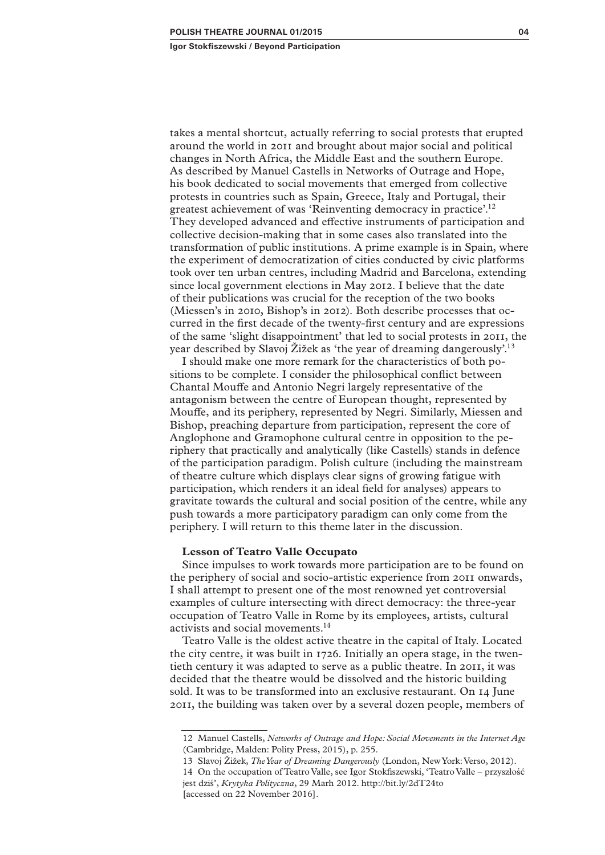takes a mental shortcut, actually referring to social protests that erupted around the world in 2011 and brought about major social and political changes in North Africa, the Middle East and the southern Europe. As described by Manuel Castells in Networks of Outrage and Hope, his book dedicated to social movements that emerged from collective protests in countries such as Spain, Greece, Italy and Portugal, their greatest achievement of was 'Reinventing democracy in practice'.12 They developed advanced and effective instruments of participation and collective decision-making that in some cases also translated into the transformation of public institutions. A prime example is in Spain, where the experiment of democratization of cities conducted by civic platforms took over ten urban centres, including Madrid and Barcelona, extending since local government elections in May 2012. I believe that the date of their publications was crucial for the reception of the two books (Miessen's in 2010, Bishop's in 2012). Both describe processes that occurred in the first decade of the twenty-first century and are expressions of the same 'slight disappointment' that led to social protests in 2011, the year described by Slavoj Žižek as 'the year of dreaming dangerously'.13

I should make one more remark for the characteristics of both positions to be complete. I consider the philosophical conflict between Chantal Mouffe and Antonio Negri largely representative of the antagonism between the centre of European thought, represented by Mouffe, and its periphery, represented by Negri. Similarly, Miessen and Bishop, preaching departure from participation, represent the core of Anglophone and Gramophone cultural centre in opposition to the periphery that practically and analytically (like Castells) stands in defence of the participation paradigm. Polish culture (including the mainstream of theatre culture which displays clear signs of growing fatigue with participation, which renders it an ideal field for analyses) appears to gravitate towards the cultural and social position of the centre, while any push towards a more participatory paradigm can only come from the periphery. I will return to this theme later in the discussion.

#### **Lesson of Teatro Valle Occupato**

Since impulses to work towards more participation are to be found on the periphery of social and socio-artistic experience from 2011 onwards, I shall attempt to present one of the most renowned yet controversial examples of culture intersecting with direct democracy: the three-year occupation of Teatro Valle in Rome by its employees, artists, cultural activists and social movements.14

Teatro Valle is the oldest active theatre in the capital of Italy. Located the city centre, it was built in 1726. Initially an opera stage, in the twentieth century it was adapted to serve as a public theatre. In 2011, it was decided that the theatre would be dissolved and the historic building sold. It was to be transformed into an exclusive restaurant. On 14 June 2011, the building was taken over by a several dozen people, members of

13 Slavoj Žižek, *The Year of Dreaming Dangerously* (London, New York: Verso, 2012).

<sup>12</sup> Manuel Castells, *Networks of Outrage and Hope: Social Movements in the Internet Age* (Cambridge, Malden: Polity Press, 2015), p. 255.

<sup>14</sup> On the occupation of Teatro Valle, see Igor Stokfiszewski, 'Teatro Valle – przyszłość jest dziś', *Krytyka Polityczna*, 29 Marh 2012. http://bit.ly/2dT24to [accessed on 22 November 2016].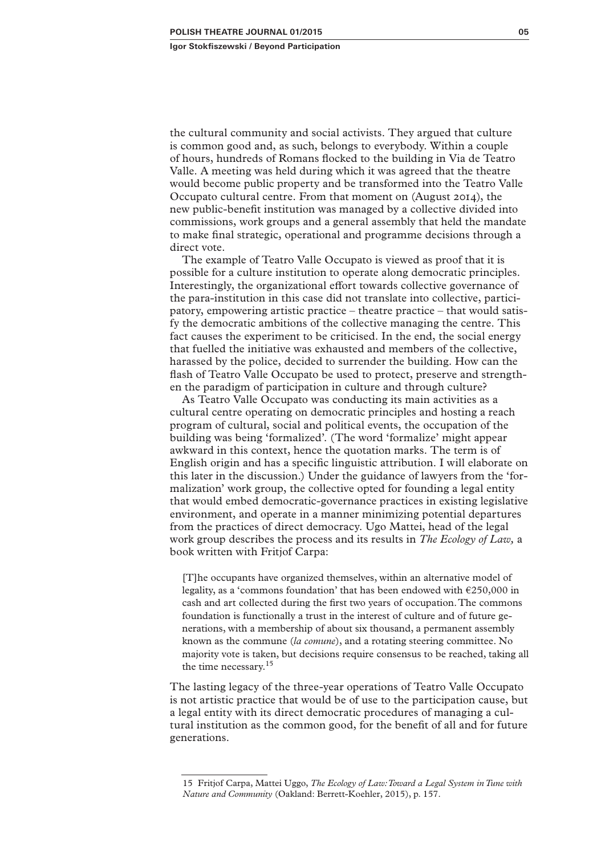the cultural community and social activists. They argued that culture is common good and, as such, belongs to everybody. Within a couple of hours, hundreds of Romans flocked to the building in Via de Teatro Valle. A meeting was held during which it was agreed that the theatre would become public property and be transformed into the Teatro Valle Occupato cultural centre. From that moment on (August 2014), the new public-benefit institution was managed by a collective divided into commissions, work groups and a general assembly that held the mandate to make final strategic, operational and programme decisions through a direct vote.

The example of Teatro Valle Occupato is viewed as proof that it is possible for a culture institution to operate along democratic principles. Interestingly, the organizational effort towards collective governance of the para-institution in this case did not translate into collective, participatory, empowering artistic practice – theatre practice – that would satisfy the democratic ambitions of the collective managing the centre. This fact causes the experiment to be criticised. In the end, the social energy that fuelled the initiative was exhausted and members of the collective, harassed by the police, decided to surrender the building. How can the flash of Teatro Valle Occupato be used to protect, preserve and strengthen the paradigm of participation in culture and through culture?

As Teatro Valle Occupato was conducting its main activities as a cultural centre operating on democratic principles and hosting a reach program of cultural, social and political events, the occupation of the building was being 'formalized'. (The word 'formalize' might appear awkward in this context, hence the quotation marks. The term is of English origin and has a specific linguistic attribution. I will elaborate on this later in the discussion.) Under the guidance of lawyers from the 'formalization' work group, the collective opted for founding a legal entity that would embed democratic-governance practices in existing legislative environment, and operate in a manner minimizing potential departures from the practices of direct democracy. Ugo Mattei, head of the legal work group describes the process and its results in *The Ecology of Law,* a book written with Fritjof Carpa:

[T]he occupants have organized themselves, within an alternative model of legality, as a 'commons foundation' that has been endowed with €250,000 in cash and art collected during the first two years of occupation. The commons foundation is functionally a trust in the interest of culture and of future generations, with a membership of about six thousand, a permanent assembly known as the commune (*la comune*), and a rotating steering committee. No majority vote is taken, but decisions require consensus to be reached, taking all the time necessary.<sup>15</sup>

The lasting legacy of the three-year operations of Teatro Valle Occupato is not artistic practice that would be of use to the participation cause, but a legal entity with its direct democratic procedures of managing a cultural institution as the common good, for the benefit of all and for future generations.

<sup>15</sup> Fritjof Carpa, Mattei Uggo, *The Ecology of Law: Toward a Legal System in Tune with Nature and Community* (Oakland: Berrett-Koehler, 2015), p. 157.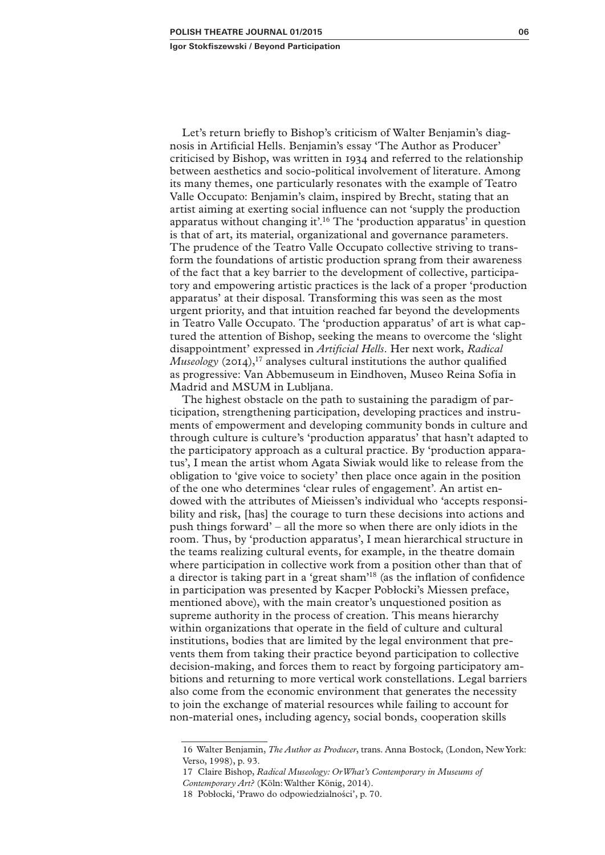Let's return briefly to Bishop's criticism of Walter Benjamin's diagnosis in Artificial Hells. Benjamin's essay 'The Author as Producer' criticised by Bishop, was written in 1934 and referred to the relationship between aesthetics and socio-political involvement of literature. Among its many themes, one particularly resonates with the example of Teatro Valle Occupato: Benjamin's claim, inspired by Brecht, stating that an artist aiming at exerting social influence can not 'supply the production apparatus without changing it'.16 The 'production apparatus' in question is that of art, its material, organizational and governance parameters. The prudence of the Teatro Valle Occupato collective striving to transform the foundations of artistic production sprang from their awareness of the fact that a key barrier to the development of collective, participatory and empowering artistic practices is the lack of a proper 'production apparatus' at their disposal. Transforming this was seen as the most urgent priority, and that intuition reached far beyond the developments in Teatro Valle Occupato. The 'production apparatus' of art is what captured the attention of Bishop, seeking the means to overcome the 'slight disappointment' expressed in *Artificial Hells*. Her next work, *Radical Museology* (2014),<sup>17</sup> analyses cultural institutions the author qualified as progressive: Van Abbemuseum in Eindhoven, Museo Reina Sofía in Madrid and MSUM in Lubljana.

The highest obstacle on the path to sustaining the paradigm of participation, strengthening participation, developing practices and instruments of empowerment and developing community bonds in culture and through culture is culture's 'production apparatus' that hasn't adapted to the participatory approach as a cultural practice. By 'production apparatus', I mean the artist whom Agata Siwiak would like to release from the obligation to 'give voice to society' then place once again in the position of the one who determines 'clear rules of engagement'. An artist endowed with the attributes of Mieissen's individual who 'accepts responsibility and risk, [has] the courage to turn these decisions into actions and push things forward' – all the more so when there are only idiots in the room. Thus, by 'production apparatus', I mean hierarchical structure in the teams realizing cultural events, for example, in the theatre domain where participation in collective work from a position other than that of a director is taking part in a 'great sham'18 (as the inflation of confidence in participation was presented by Kacper Pobłocki's Miessen preface, mentioned above), with the main creator's unquestioned position as supreme authority in the process of creation. This means hierarchy within organizations that operate in the field of culture and cultural institutions, bodies that are limited by the legal environment that prevents them from taking their practice beyond participation to collective decision-making, and forces them to react by forgoing participatory ambitions and returning to more vertical work constellations. Legal barriers also come from the economic environment that generates the necessity to join the exchange of material resources while failing to account for non-material ones, including agency, social bonds, cooperation skills

<sup>16</sup> Walter Benjamin, *The Author as Producer*, trans. Anna Bostock, (London, New York: Verso, 1998), p. 93.

<sup>17</sup> Claire Bishop, *Radical Museology: Or What's Contemporary in Museums of Contemporary Art?* (Köln: Walther König, 2014).

<sup>18</sup> Pobłocki, 'Prawo do odpowiedzialności', p. 70.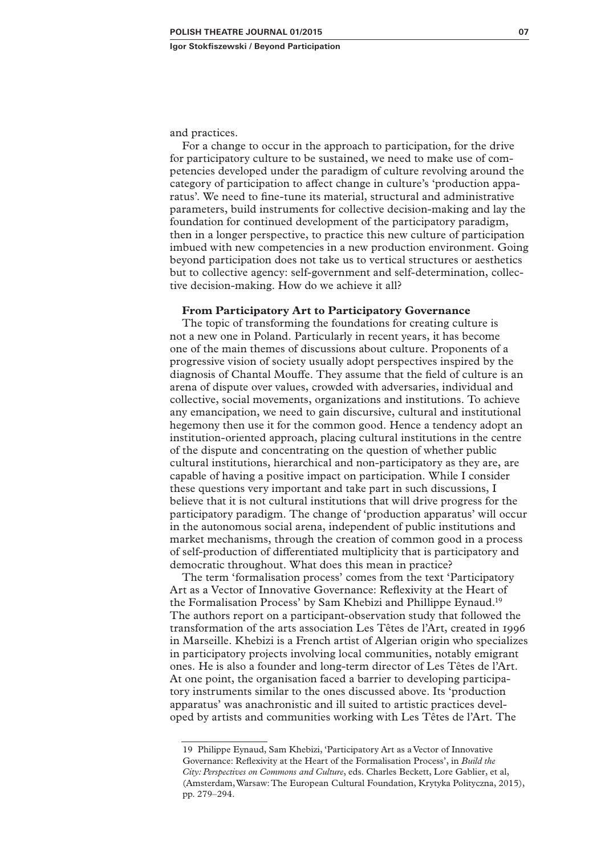and practices.

For a change to occur in the approach to participation, for the drive for participatory culture to be sustained, we need to make use of competencies developed under the paradigm of culture revolving around the category of participation to affect change in culture's 'production apparatus'. We need to fine-tune its material, structural and administrative parameters, build instruments for collective decision-making and lay the foundation for continued development of the participatory paradigm, then in a longer perspective, to practice this new culture of participation imbued with new competencies in a new production environment. Going beyond participation does not take us to vertical structures or aesthetics but to collective agency: self-government and self-determination, collective decision-making. How do we achieve it all?

## **From Participatory Art to Participatory Governance**

The topic of transforming the foundations for creating culture is not a new one in Poland. Particularly in recent years, it has become one of the main themes of discussions about culture. Proponents of a progressive vision of society usually adopt perspectives inspired by the diagnosis of Chantal Mouffe. They assume that the field of culture is an arena of dispute over values, crowded with adversaries, individual and collective, social movements, organizations and institutions. To achieve any emancipation, we need to gain discursive, cultural and institutional hegemony then use it for the common good. Hence a tendency adopt an institution-oriented approach, placing cultural institutions in the centre of the dispute and concentrating on the question of whether public cultural institutions, hierarchical and non-participatory as they are, are capable of having a positive impact on participation. While I consider these questions very important and take part in such discussions, I believe that it is not cultural institutions that will drive progress for the participatory paradigm. The change of 'production apparatus' will occur in the autonomous social arena, independent of public institutions and market mechanisms, through the creation of common good in a process of self-production of differentiated multiplicity that is participatory and democratic throughout. What does this mean in practice?

The term 'formalisation process' comes from the text 'Participatory Art as a Vector of Innovative Governance: Reflexivity at the Heart of the Formalisation Process' by Sam Khebizi and Phillippe Eynaud.19 The authors report on a participant-observation study that followed the transformation of the arts association Les Têtes de l'Art, created in 1996 in Marseille. Khebizi is a French artist of Algerian origin who specializes in participatory projects involving local communities, notably emigrant ones. He is also a founder and long-term director of Les Têtes de l'Art. At one point, the organisation faced a barrier to developing participatory instruments similar to the ones discussed above. Its 'production apparatus' was anachronistic and ill suited to artistic practices developed by artists and communities working with Les Têtes de l'Art. The

<sup>19</sup> Philippe Eynaud, Sam Khebizi, 'Participatory Art as a Vector of Innovative Governance: Reflexivity at the Heart of the Formalisation Process', in *Build the City: Perspectives on Commons and Culture*, eds. Charles Beckett, Lore Gablier, et al, (Amsterdam, Warsaw: The European Cultural Foundation, Krytyka Polityczna, 2015), pp. 279–294.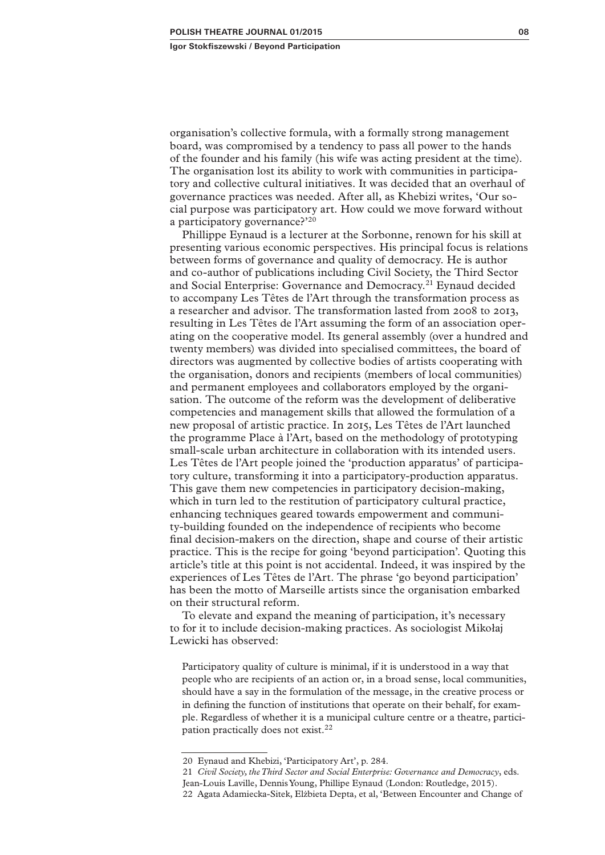organisation's collective formula, with a formally strong management board, was compromised by a tendency to pass all power to the hands of the founder and his family (his wife was acting president at the time). The organisation lost its ability to work with communities in participatory and collective cultural initiatives. It was decided that an overhaul of governance practices was needed. After all, as Khebizi writes, 'Our social purpose was participatory art. How could we move forward without a participatory governance?'<sup>20</sup>

Phillippe Eynaud is a lecturer at the Sorbonne, renown for his skill at presenting various economic perspectives. His principal focus is relations between forms of governance and quality of democracy. He is author and co-author of publications including Civil Society, the Third Sector and Social Enterprise: Governance and Democracy.21 Eynaud decided to accompany Les Têtes de l'Art through the transformation process as a researcher and advisor. The transformation lasted from 2008 to 2013, resulting in Les Têtes de l'Art assuming the form of an association operating on the cooperative model. Its general assembly (over a hundred and twenty members) was divided into specialised committees, the board of directors was augmented by collective bodies of artists cooperating with the organisation, donors and recipients (members of local communities) and permanent employees and collaborators employed by the organisation. The outcome of the reform was the development of deliberative competencies and management skills that allowed the formulation of a new proposal of artistic practice. In 2015, Les Têtes de l'Art launched the programme Place à l'Art, based on the methodology of prototyping small-scale urban architecture in collaboration with its intended users. Les Têtes de l'Art people joined the 'production apparatus' of participatory culture, transforming it into a participatory-production apparatus. This gave them new competencies in participatory decision-making, which in turn led to the restitution of participatory cultural practice, enhancing techniques geared towards empowerment and community-building founded on the independence of recipients who become final decision-makers on the direction, shape and course of their artistic practice. This is the recipe for going 'beyond participation'. Quoting this article's title at this point is not accidental. Indeed, it was inspired by the experiences of Les Têtes de l'Art. The phrase 'go beyond participation' has been the motto of Marseille artists since the organisation embarked on their structural reform.

To elevate and expand the meaning of participation, it's necessary to for it to include decision-making practices. As sociologist Mikołaj Lewicki has observed:

Participatory quality of culture is minimal, if it is understood in a way that people who are recipients of an action or, in a broad sense, local communities, should have a say in the formulation of the message, in the creative process or in defining the function of institutions that operate on their behalf, for example. Regardless of whether it is a municipal culture centre or a theatre, participation practically does not exist.<sup>22</sup>

21 *Civil Society, the Third Sector and Social Enterprise: Governance and Democracy*, eds. Jean-Louis Laville, Dennis Young, Phillipe Eynaud (London: Routledge, 2015). 22 Agata Adamiecka-Sitek, Elżbieta Depta, et al, 'Between Encounter and Change of

<sup>20</sup> Eynaud and Khebizi, 'Participatory Art', p. 284.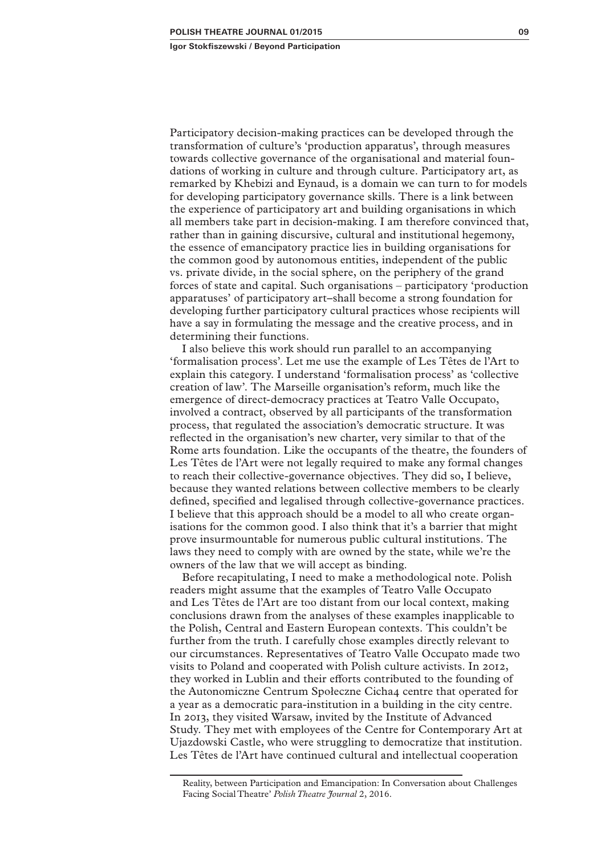Participatory decision-making practices can be developed through the transformation of culture's 'production apparatus', through measures towards collective governance of the organisational and material foundations of working in culture and through culture. Participatory art, as remarked by Khebizi and Eynaud, is a domain we can turn to for models for developing participatory governance skills. There is a link between the experience of participatory art and building organisations in which all members take part in decision-making. I am therefore convinced that, rather than in gaining discursive, cultural and institutional hegemony, the essence of emancipatory practice lies in building organisations for the common good by autonomous entities, independent of the public vs. private divide, in the social sphere, on the periphery of the grand forces of state and capital. Such organisations – participatory 'production apparatuses' of participatory art ̶ shall become a strong foundation for developing further participatory cultural practices whose recipients will have a say in formulating the message and the creative process, and in determining their functions.

I also believe this work should run parallel to an accompanying 'formalisation process'. Let me use the example of Les Têtes de l'Art to explain this category. I understand 'formalisation process' as 'collective creation of law'. The Marseille organisation's reform, much like the emergence of direct-democracy practices at Teatro Valle Occupato, involved a contract, observed by all participants of the transformation process, that regulated the association's democratic structure. It was reflected in the organisation's new charter, very similar to that of the Rome arts foundation. Like the occupants of the theatre, the founders of Les Têtes de l'Art were not legally required to make any formal changes to reach their collective-governance objectives. They did so, I believe, because they wanted relations between collective members to be clearly defined, specified and legalised through collective-governance practices. I believe that this approach should be a model to all who create organisations for the common good. I also think that it's a barrier that might prove insurmountable for numerous public cultural institutions. The laws they need to comply with are owned by the state, while we're the owners of the law that we will accept as binding.

Before recapitulating, I need to make a methodological note. Polish readers might assume that the examples of Teatro Valle Occupato and Les Têtes de l'Art are too distant from our local context, making conclusions drawn from the analyses of these examples inapplicable to the Polish, Central and Eastern European contexts. This couldn't be further from the truth. I carefully chose examples directly relevant to our circumstances. Representatives of Teatro Valle Occupato made two visits to Poland and cooperated with Polish culture activists. In 2012, they worked in Lublin and their efforts contributed to the founding of the Autonomiczne Centrum Społeczne Cicha4 centre that operated for a year as a democratic para-institution in a building in the city centre. In 2013, they visited Warsaw, invited by the Institute of Advanced Study. They met with employees of the Centre for Contemporary Art at Ujazdowski Castle, who were struggling to democratize that institution. Les Têtes de l'Art have continued cultural and intellectual cooperation

Reality, between Participation and Emancipation: In Conversation about Challenges Facing Social Theatre' *Polish Theatre Journal* 2, 2016.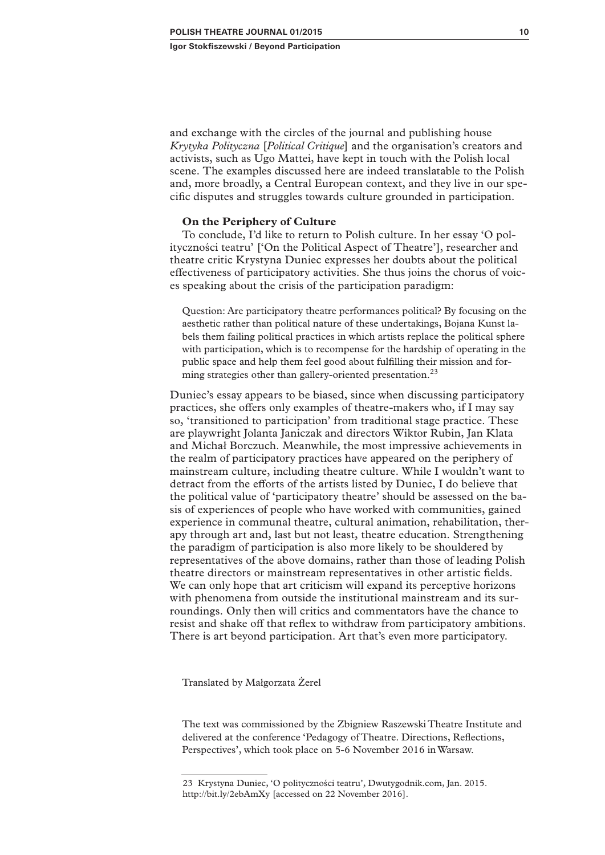and exchange with the circles of the journal and publishing house *Krytyka Polityczna* [*Political Critique*] and the organisation's creators and activists, such as Ugo Mattei, have kept in touch with the Polish local scene. The examples discussed here are indeed translatable to the Polish and, more broadly, a Central European context, and they live in our specific disputes and struggles towards culture grounded in participation.

#### **On the Periphery of Culture**

To conclude, I'd like to return to Polish culture. In her essay 'O polityczności teatru' ['On the Political Aspect of Theatre'], researcher and theatre critic Krystyna Duniec expresses her doubts about the political effectiveness of participatory activities. She thus joins the chorus of voices speaking about the crisis of the participation paradigm:

Question: Are participatory theatre performances political? By focusing on the aesthetic rather than political nature of these undertakings, Bojana Kunst labels them failing political practices in which artists replace the political sphere with participation, which is to recompense for the hardship of operating in the public space and help them feel good about fulfilling their mission and forming strategies other than gallery-oriented presentation.<sup>23</sup>

Duniec's essay appears to be biased, since when discussing participatory practices, she offers only examples of theatre-makers who, if I may say so, 'transitioned to participation' from traditional stage practice. These are playwright Jolanta Janiczak and directors Wiktor Rubin, Jan Klata and Michał Borczuch. Meanwhile, the most impressive achievements in the realm of participatory practices have appeared on the periphery of mainstream culture, including theatre culture. While I wouldn't want to detract from the efforts of the artists listed by Duniec, I do believe that the political value of 'participatory theatre' should be assessed on the basis of experiences of people who have worked with communities, gained experience in communal theatre, cultural animation, rehabilitation, therapy through art and, last but not least, theatre education. Strengthening the paradigm of participation is also more likely to be shouldered by representatives of the above domains, rather than those of leading Polish theatre directors or mainstream representatives in other artistic fields. We can only hope that art criticism will expand its perceptive horizons with phenomena from outside the institutional mainstream and its surroundings. Only then will critics and commentators have the chance to resist and shake off that reflex to withdraw from participatory ambitions. There is art beyond participation. Art that's even more participatory.

Translated by Małgorzata Żerel

The text was commissioned by the Zbigniew Raszewski Theatre Institute and delivered at the conference 'Pedagogy of Theatre. Directions, Reflections, Perspectives', which took place on 5-6 November 2016 in Warsaw.

<sup>23</sup> Krystyna Duniec, 'O polityczności teatru', Dwutygodnik.com, Jan. 2015. http://bit.ly/2ebAmXy [accessed on 22 November 2016].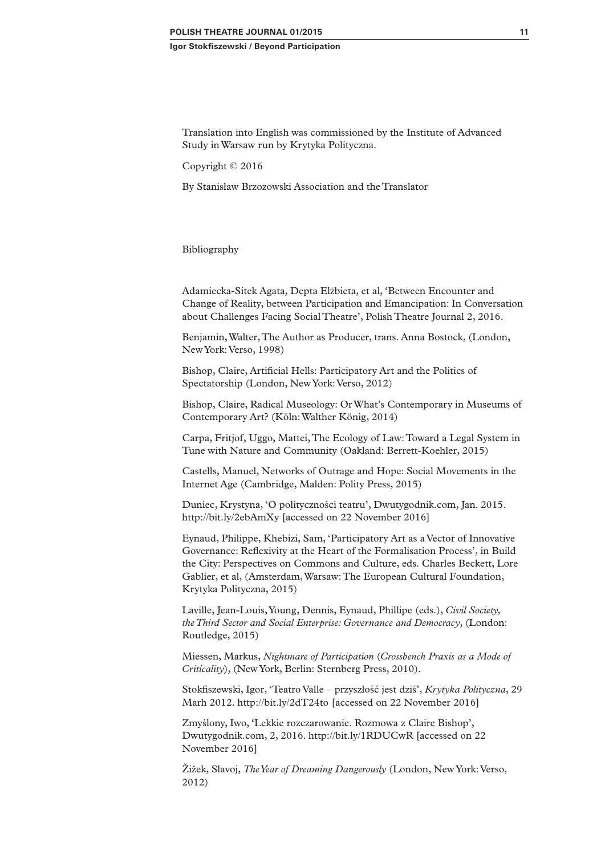Translation into English was commissioned by the Institute of Advanced Study in Warsaw run by Krytyka Polityczna.

Copyright © 2016

By Stanisław Brzozowski Association and the Translator

### Bibliography

Adamiecka-Sitek Agata, Depta Elżbieta, et al, 'Between Encounter and Change of Reality, between Participation and Emancipation: In Conversation about Challenges Facing Social Theatre', Polish Theatre Journal 2, 2016.

Benjamin, Walter, The Author as Producer, trans. Anna Bostock, (London, New York: Verso, 1998)

Bishop, Claire, Artificial Hells: Participatory Art and the Politics of Spectatorship (London, New York: Verso, 2012)

Bishop, Claire, Radical Museology: Or What's Contemporary in Museums of Contemporary Art? (Köln: Walther König, 2014)

Carpa, Fritjof, Uggo, Mattei, The Ecology of Law: Toward a Legal System in Tune with Nature and Community (Oakland: Berrett-Koehler, 2015)

Castells, Manuel, Networks of Outrage and Hope: Social Movements in the Internet Age (Cambridge, Malden: Polity Press, 2015)

Duniec, Krystyna, 'O polityczności teatru', Dwutygodnik.com, Jan. 2015. http://bit.ly/2ebAmXy [accessed on 22 November 2016]

Eynaud, Philippe, Khebizi, Sam, 'Participatory Art as a Vector of Innovative Governance: Reflexivity at the Heart of the Formalisation Process', in Build the City: Perspectives on Commons and Culture, eds. Charles Beckett, Lore Gablier, et al, (Amsterdam, Warsaw: The European Cultural Foundation, Krytyka Polityczna, 2015)

Laville, Jean-Louis, Young, Dennis, Eynaud, Phillipe (eds.), *Civil Society, the Third Sector and Social Enterprise: Governance and Democracy*, (London: Routledge, 2015)

Miessen, Markus, *Nightmare of Participation* (*Crossbench Praxis as a Mode of Criticality*), (New York, Berlin: Sternberg Press, 2010).

Stokfiszewski, Igor, 'Teatro Valle – przyszłość jest dziś', *Krytyka Polityczna*, 29 Marh 2012. http://bit.ly/2dT24to [accessed on 22 November 2016]

Zmyślony, Iwo, 'Lekkie rozczarowanie. Rozmowa z Claire Bishop', Dwutygodnik.com, 2, 2016. http://bit.ly/1RDUCwR [accessed on 22 November 2016]

Žižek, Slavoj, *The Year of Dreaming Dangerously* (London, New York: Verso, 2012)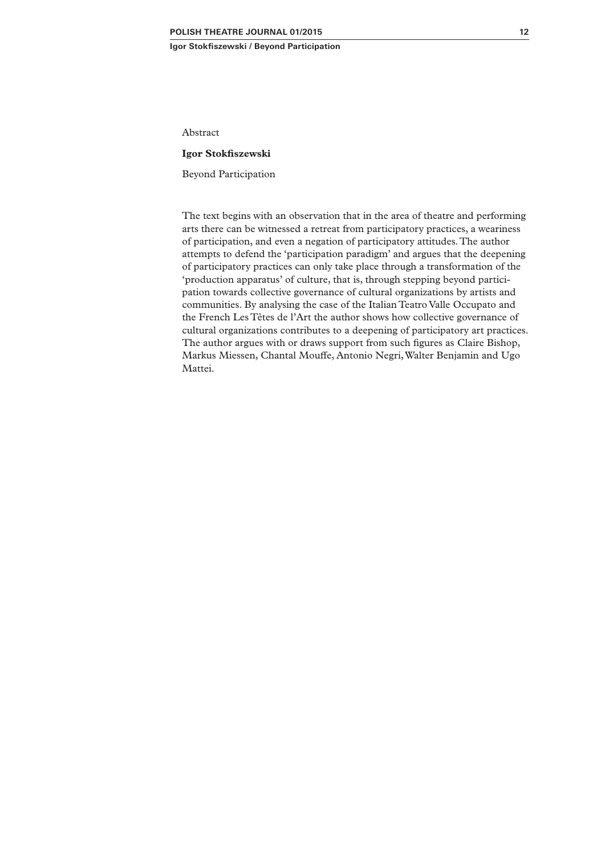Abstract

#### **Igor Stokfiszewski**

Beyond Participation

The text begins with an observation that in the area of theatre and performing arts there can be witnessed a retreat from participatory practices, a weariness of participation, and even a negation of participatory attitudes. The author attempts to defend the 'participation paradigm' and argues that the deepening of participatory practices can only take place through a transformation of the 'production apparatus' of culture, that is, through stepping beyond participation towards collective governance of cultural organizations by artists and communities. By analysing the case of the Italian Teatro Valle Occupato and the French Les Têtes de l'Art the author shows how collective governance of cultural organizations contributes to a deepening of participatory art practices. The author argues with or draws support from such figures as Claire Bishop, Markus Miessen, Chantal Mouffe, Antonio Negri, Walter Benjamin and Ugo Mattei.